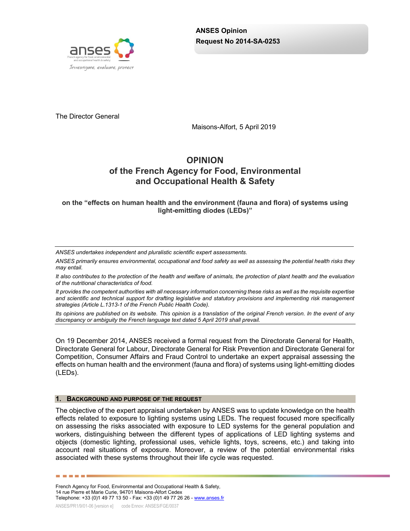

The Director General

Maisons-Alfort, 5 April 2019

# **OPINION of the French Agency for Food, Environmental and Occupational Health & Safety**

**on the "effects on human health and the environment (fauna and flora) of systems using light-emitting diodes (LEDs)"**

*ANSES undertakes independent and pluralistic scientific expert assessments.*

*ANSES primarily ensures environmental, occupational and food safety as well as assessing the potential health risks they may entail.*

*It also contributes to the protection of the health and welfare of animals, the protection of plant health and the evaluation of the nutritional characteristics of food.*

*It provides the competent authorities with all necessary information concerning these risks as well as the requisite expertise and scientific and technical support for drafting legislative and statutory provisions and implementing risk management strategies (Article L.1313-1 of the French Public Health Code).* 

*Its opinions are published on its website. This opinion is a translation of the original French version. In the event of any discrepancy or ambiguity the French language text dated 5 April 2019 shall prevail.*

On 19 December 2014, ANSES received a formal request from the Directorate General for Health, Directorate General for Labour, Directorate General for Risk Prevention and Directorate General for Competition, Consumer Affairs and Fraud Control to undertake an expert appraisal assessing the effects on human health and the environment (fauna and flora) of systems using light-emitting diodes (LEDs).

#### **1. BACKGROUND AND PURPOSE OF THE REQUEST**

The objective of the expert appraisal undertaken by ANSES was to update knowledge on the health effects related to exposure to lighting systems using LEDs. The request focused more specifically on assessing the risks associated with exposure to LED systems for the general population and workers, distinguishing between the different types of applications of LED lighting systems and objects (domestic lighting, professional uses, vehicle lights, toys, screens, etc.) and taking into account real situations of exposure. Moreover, a review of the potential environmental risks associated with these systems throughout their life cycle was requested.

French Agency for Food, Environmental and Occupational Health & Safety, 14 rue Pierre et Marie Curie, 94701 Maisons-Alfort Cedex Telephone: +33 (0)1 49 77 13 50 - Fax: +33 (0)1 49 77 26 26 - [www.anses.fr](http://www.anses.fr/)

------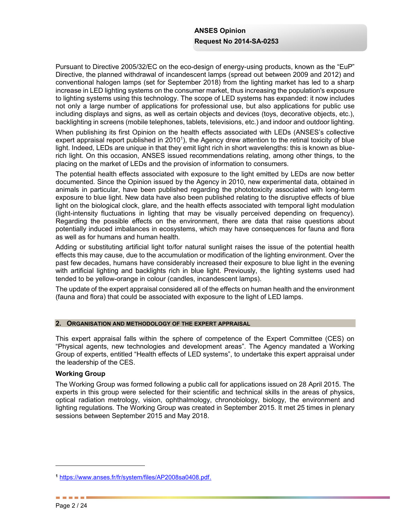Pursuant to Directive 2005/32/EC on the eco-design of energy-using products, known as the "EuP" Directive, the planned withdrawal of incandescent lamps (spread out between 2009 and 2012) and conventional halogen lamps (set for September 2018) from the lighting market has led to a sharp increase in LED lighting systems on the consumer market, thus increasing the population's exposure to lighting systems using this technology. The scope of LED systems has expanded: it now includes not only a large number of applications for professional use, but also applications for public use including displays and signs, as well as certain objects and devices (toys, decorative objects, etc.), backlighting in screens (mobile telephones, tablets, televisions, etc.) and indoor and outdoor lighting.

When publishing its first Opinion on the health effects associated with LEDs (ANSES's collective expert appraisal report published in 2010<sup>1</sup>), the Agency drew attention to the retinal toxicity of blue light. Indeed, LEDs are unique in that they emit light rich in short wavelengths: this is known as bluerich light. On this occasion, ANSES issued recommendations relating, among other things, to the placing on the market of LEDs and the provision of information to consumers.

The potential health effects associated with exposure to the light emitted by LEDs are now better documented. Since the Opinion issued by the Agency in 2010, new experimental data, obtained in animals in particular, have been published regarding the phototoxicity associated with long-term exposure to blue light. New data have also been published relating to the disruptive effects of blue light on the biological clock, glare, and the health effects associated with temporal light modulation (light-intensity fluctuations in lighting that may be visually perceived depending on frequency). Regarding the possible effects on the environment, there are data that raise questions about potentially induced imbalances in ecosystems, which may have consequences for fauna and flora as well as for humans and human health.

Adding or substituting artificial light to/for natural sunlight raises the issue of the potential health effects this may cause, due to the accumulation or modification of the lighting environment. Over the past few decades, humans have considerably increased their exposure to blue light in the evening with artificial lighting and backlights rich in blue light. Previously, the lighting systems used had tended to be yellow-orange in colour (candles, incandescent lamps).

The update of the expert appraisal considered all of the effects on human health and the environment (fauna and flora) that could be associated with exposure to the light of LED lamps.

### **2. ORGANISATION AND METHODOLOGY OF THE EXPERT APPRAISAL**

This expert appraisal falls within the sphere of competence of the Expert Committee (CES) on "Physical agents, new technologies and development areas". The Agency mandated a Working Group of experts, entitled "Health effects of LED systems", to undertake this expert appraisal under the leadership of the CES.

## **Working Group**

The Working Group was formed following a public call for applications issued on 28 April 2015. The experts in this group were selected for their scientific and technical skills in the areas of physics, optical radiation metrology, vision, ophthalmology, chronobiology, biology, the environment and lighting regulations. The Working Group was created in September 2015. It met 25 times in plenary sessions between September 2015 and May 2018.

**<sup>1</sup>** [https://www.anses.fr/fr/system/files/AP2008sa0408.pdf.](https://www.anses.fr/fr/system/files/AP2008sa0408.pdf)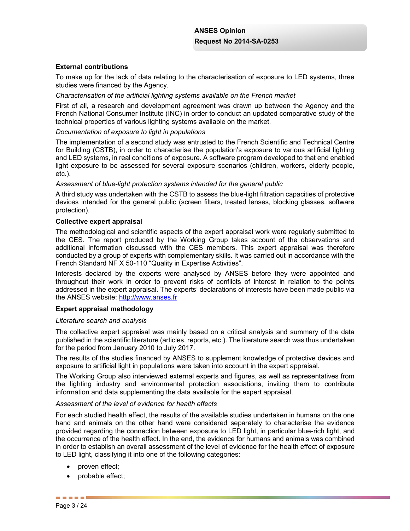## **External contributions**

To make up for the lack of data relating to the characterisation of exposure to LED systems, three studies were financed by the Agency.

### *Characterisation of the artificial lighting systems available on the French market*

First of all, a research and development agreement was drawn up between the Agency and the French National Consumer Institute (INC) in order to conduct an updated comparative study of the technical properties of various lighting systems available on the market.

#### *Documentation of exposure to light in populations*

The implementation of a second study was entrusted to the French Scientific and Technical Centre for Building (CSTB), in order to characterise the population's exposure to various artificial lighting and LED systems, in real conditions of exposure. A software program developed to that end enabled light exposure to be assessed for several exposure scenarios (children, workers, elderly people, etc.).

### *Assessment of blue-light protection systems intended for the general public*

A third study was undertaken with the CSTB to assess the blue-light filtration capacities of protective devices intended for the general public (screen filters, treated lenses, blocking glasses, software protection).

#### **Collective expert appraisal**

The methodological and scientific aspects of the expert appraisal work were regularly submitted to the CES. The report produced by the Working Group takes account of the observations and additional information discussed with the CES members. This expert appraisal was therefore conducted by a group of experts with complementary skills. It was carried out in accordance with the French Standard NF X 50-110 "Quality in Expertise Activities".

Interests declared by the experts were analysed by ANSES before they were appointed and throughout their work in order to prevent risks of conflicts of interest in relation to the points addressed in the expert appraisal. The experts' declarations of interests have been made public via the ANSES website: http://www.anses.fr

## **Expert appraisal methodology**

#### *Literature search and analysis*

The collective expert appraisal was mainly based on a critical analysis and summary of the data published in the scientific literature (articles, reports, etc.). The literature search was thus undertaken for the period from January 2010 to July 2017.

The results of the studies financed by ANSES to supplement knowledge of protective devices and exposure to artificial light in populations were taken into account in the expert appraisal.

The Working Group also interviewed external experts and figures, as well as representatives from the lighting industry and environmental protection associations, inviting them to contribute information and data supplementing the data available for the expert appraisal.

#### *Assessment of the level of evidence for health effects*

For each studied health effect, the results of the available studies undertaken in humans on the one hand and animals on the other hand were considered separately to characterise the evidence provided regarding the connection between exposure to LED light, in particular blue-rich light, and the occurrence of the health effect. In the end, the evidence for humans and animals was combined in order to establish an overall assessment of the level of evidence for the health effect of exposure to LED light, classifying it into one of the following categories:

- $\bullet$  proven effect;
- $\bullet$  probable effect;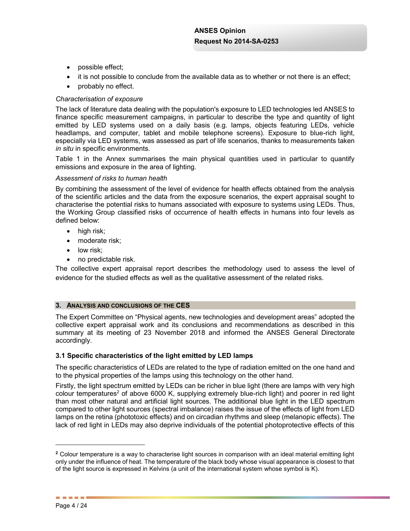- possible effect;
- $\bullet$  it is not possible to conclude from the available data as to whether or not there is an effect;
- $\bullet$  probably no effect.

## *Characterisation of exposure*

The lack of literature data dealing with the population's exposure to LED technologies led ANSES to finance specific measurement campaigns, in particular to describe the type and quantity of light emitted by LED systems used on a daily basis (e.g. lamps, objects featuring LEDs, vehicle headlamps, and computer, tablet and mobile telephone screens). Exposure to blue-rich light, especially via LED systems, was assessed as part of life scenarios, thanks to measurements taken *in situ* in specific environments.

Table 1 in the Annex summarises the main physical quantities used in particular to quantify emissions and exposure in the area of lighting.

## *Assessment of risks to human health*

By combining the assessment of the level of evidence for health effects obtained from the analysis of the scientific articles and the data from the exposure scenarios, the expert appraisal sought to characterise the potential risks to humans associated with exposure to systems using LEDs. Thus, the Working Group classified risks of occurrence of health effects in humans into four levels as defined below:

- $\bullet$  high risk;
- $\bullet$  moderate risk;
- $\bullet$  low risk;
- $\bullet$  no predictable risk.

The collective expert appraisal report describes the methodology used to assess the level of evidence for the studied effects as well as the qualitative assessment of the related risks.

### **3. ANALYSIS AND CONCLUSIONS OF THE CES**

The Expert Committee on "Physical agents, new technologies and development areas" adopted the collective expert appraisal work and its conclusions and recommendations as described in this summary at its meeting of 23 November 2018 and informed the ANSES General Directorate accordingly.

## **3.1 Specific characteristics of the light emitted by LED lamps**

The specific characteristics of LEDs are related to the type of radiation emitted on the one hand and to the physical properties of the lamps using this technology on the other hand.

Firstly, the light spectrum emitted by LEDs can be richer in blue light (there are lamps with very high colour temperatures<sup>2</sup> of above 6000 K, supplying extremely blue-rich light) and poorer in red light than most other natural and artificial light sources. The additional blue light in the LED spectrum compared to other light sources (spectral imbalance) raises the issue of the effects of light from LED lamps on the retina (phototoxic effects) and on circadian rhythms and sleep (melanopic effects). The lack of red light in LEDs may also deprive individuals of the potential photoprotective effects of this

**<sup>2</sup>** Colour temperature is a way to characterise light sources in comparison with an ideal material emitting light only under the influence of heat. The temperature of the black body whose visual appearance is closest to that of the light source is expressed in Kelvins (a unit of the international system whose symbol is K).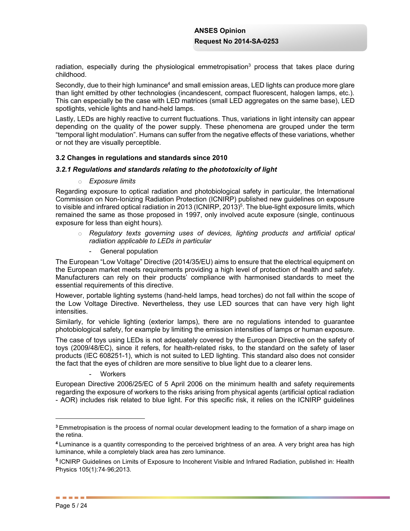radiation, especially during the physiological emmetropisation<sup>3</sup> process that takes place during childhood.

Secondly, due to their high luminance<sup>4</sup> and small emission areas, LED lights can produce more glare than light emitted by other technologies (incandescent, compact fluorescent, halogen lamps, etc.). This can especially be the case with LED matrices (small LED aggregates on the same base), LED spotlights, vehicle lights and hand-held lamps.

Lastly, LEDs are highly reactive to current fluctuations. Thus, variations in light intensity can appear depending on the quality of the power supply. These phenomena are grouped under the term "temporal light modulation". Humans can suffer from the negative effects of these variations, whether or not they are visually perceptible.

## **3.2 Changes in regulations and standards since 2010**

### *3.2.1 Regulations and standards relating to the phototoxicity of light*

### o *Exposure limits*

Regarding exposure to optical radiation and photobiological safety in particular, the International Commission on Non-Ionizing Radiation Protection (ICNIRP) published new guidelines on exposure to visible and infrared optical radiation in 2013 (ICNIRP, 2013)<sup>5</sup>. The blue-light exposure limits, which remained the same as those proposed in 1997, only involved acute exposure (single, continuous exposure for less than eight hours).

- o *Regulatory texts governing uses of devices, lighting products and artificial optical radiation applicable to LEDs in particular*
	- General population

The European "Low Voltage" Directive (2014/35/EU) aims to ensure that the electrical equipment on the European market meets requirements providing a high level of protection of health and safety. Manufacturers can rely on their products' compliance with harmonised standards to meet the essential requirements of this directive.

However, portable lighting systems (hand-held lamps, head torches) do not fall within the scope of the Low Voltage Directive. Nevertheless, they use LED sources that can have very high light intensities.

Similarly, for vehicle lighting (exterior lamps), there are no regulations intended to guarantee photobiological safety, for example by limiting the emission intensities of lamps or human exposure.

The case of toys using LEDs is not adequately covered by the European Directive on the safety of toys (2009/48/EC), since it refers, for health-related risks, to the standard on the safety of laser products (IEC 608251-1), which is not suited to LED lighting. This standard also does not consider the fact that the eyes of children are more sensitive to blue light due to a clearer lens.

**Workers** 

European Directive 2006/25/EC of 5 April 2006 on the minimum health and safety requirements regarding the exposure of workers to the risks arising from physical agents (artificial optical radiation - AOR) includes risk related to blue light. For this specific risk, it relies on the ICNIRP guidelines

**<sup>3</sup>** Emmetropisation is the process of normal ocular development leading to the formation of a sharp image on the retina.

**<sup>4</sup>** Luminance is a quantity corresponding to the perceived brightness of an area. A very bright area has high luminance, while a completely black area has zero luminance.

**<sup>5</sup>** ICNIRP Guidelines on Limits of Exposure to Incoherent Visible and Infrared Radiation, published in: Health Physics 105(1):74‐96;2013.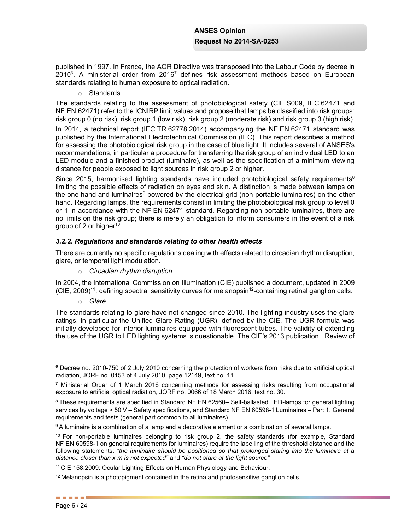published in 1997. In France, the AOR Directive was transposed into the Labour Code by decree in 2010<sup>6</sup>. A ministerial order from 2016<sup>7</sup> defines risk assessment methods based on European standards relating to human exposure to optical radiation.

o Standards

The standards relating to the assessment of photobiological safety (CIE S009, IEC 62471 and NF EN 62471) refer to the ICNIRP limit values and propose that lamps be classified into risk groups: risk group 0 (no risk), risk group 1 (low risk), risk group 2 (moderate risk) and risk group 3 (high risk).

In 2014, a technical report (IEC TR 62778:2014) accompanying the NF EN 62471 standard was published by the International Electrotechnical Commission (IEC). This report describes a method for assessing the photobiological risk group in the case of blue light. It includes several of ANSES's recommendations, in particular a procedure for transferring the risk group of an individual LED to an LED module and a finished product (luminaire), as well as the specification of a minimum viewing distance for people exposed to light sources in risk group 2 or higher.

Since 2015, harmonised lighting standards have included photobiological safety requirements<sup>8</sup> limiting the possible effects of radiation on eyes and skin. A distinction is made between lamps on the one hand and luminaires<sup>9</sup> powered by the electrical grid (non-portable luminaires) on the other hand. Regarding lamps, the requirements consist in limiting the photobiological risk group to level 0 or 1 in accordance with the NF EN 62471 standard. Regarding non-portable luminaires, there are no limits on the risk group; there is merely an obligation to inform consumers in the event of a risk group of 2 or higher $10$ .

## *3.2.2. Regulations and standards relating to other health effects*

There are currently no specific regulations dealing with effects related to circadian rhythm disruption, glare, or temporal light modulation.

o *Circadian rhythm disruption*

In 2004, the International Commission on Illumination (CIE) published a document, updated in 2009  $(CIE, 2009)^{11}$ , defining spectral sensitivity curves for melanopsin<sup>12</sup>-containing retinal ganglion cells.

o *Glare*

The standards relating to glare have not changed since 2010. The lighting industry uses the glare ratings, in particular the Unified Glare Rating (UGR), defined by the CIE. The UGR formula was initially developed for interior luminaires equipped with fluorescent tubes. The validity of extending the use of the UGR to LED lighting systems is questionable. The CIE's 2013 publication, "Review of

**<sup>6</sup>** Decree no. 2010-750 of 2 July 2010 concerning the protection of workers from risks due to artificial optical radiation, JORF no. 0153 of 4 July 2010, page 12149, text no. 11.

**<sup>7</sup>** Ministerial Order of 1 March 2016 concerning methods for assessing risks resulting from occupational exposure to artificial optical radiation, JORF no. 0066 of 18 March 2016, text no. 30.

<sup>8</sup> These requirements are specified in Standard NF EN [62560](http://www.boutique.afnor.org/numdos/redirection/FA165439?aff=2401)– Self-ballasted LED-lamps for general lighting services by voltage > 50 V – Safety specifications, and Standard NF EN 60598-1 Luminaires – Part 1: General requirements and tests (general part common to all luminaires).

<sup>&</sup>lt;sup>9</sup> A luminaire is a combination of a lamp and a decorative element or a combination of several lamps.

<sup>10</sup> For non-portable luminaires belonging to risk group 2, the safety standards (for example, Standard NF EN 60598-1 on general requirements for luminaires) require the labelling of the threshold distance and the following statements: *"the luminaire should be positioned so that prolonged staring into the luminaire at a distance closer than x m is not expected"* and *"do not stare at the light source".*

<sup>11</sup> CIE 158:2009: Ocular Lighting Effects on Human Physiology and Behaviour.

<sup>&</sup>lt;sup>12</sup> Melanopsin is a photopigment contained in the retina and photosensitive ganglion cells.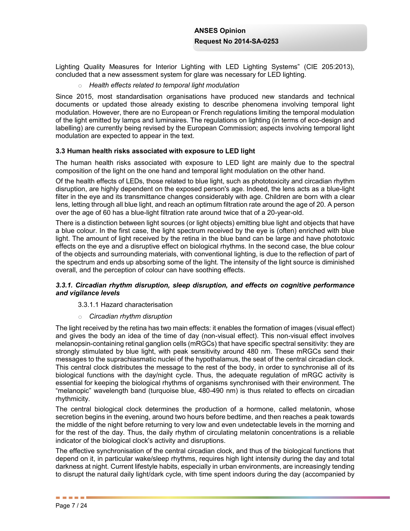Lighting Quality Measures for Interior Lighting with LED Lighting Systems" (CIE 205:2013), concluded that a new assessment system for glare was necessary for LED lighting.

o *Health effects related to temporal light modulation*

Since 2015, most standardisation organisations have produced new standards and technical documents or updated those already existing to describe phenomena involving temporal light modulation. However, there are no European or French regulations limiting the temporal modulation of the light emitted by lamps and luminaires. The regulations on lighting (in terms of eco-design and labelling) are currently being revised by the European Commission; aspects involving temporal light modulation are expected to appear in the text.

## **3.3 Human health risks associated with exposure to LED light**

The human health risks associated with exposure to LED light are mainly due to the spectral composition of the light on the one hand and temporal light modulation on the other hand.

Of the health effects of LEDs, those related to blue light, such as phototoxicity and circadian rhythm disruption, are highly dependent on the exposed person's age. Indeed, the lens acts as a blue-light filter in the eye and its transmittance changes considerably with age. Children are born with a clear lens, letting through all blue light, and reach an optimum filtration rate around the age of 20. A person over the age of 60 has a blue-light filtration rate around twice that of a 20-year-old.

There is a distinction between light sources (or light objects) emitting blue light and objects that have a blue colour. In the first case, the light spectrum received by the eye is (often) enriched with blue light. The amount of light received by the retina in the blue band can be large and have phototoxic effects on the eye and a disruptive effect on biological rhythms. In the second case, the blue colour of the objects and surrounding materials, with conventional lighting, is due to the reflection of part of the spectrum and ends up absorbing some of the light. The intensity of the light source is diminished overall, and the perception of colour can have soothing effects.

## *3.3.1. Circadian rhythm disruption, sleep disruption, and effects on cognitive performance and vigilance levels*

### 3.3.1.1 Hazard characterisation

### o *Circadian rhythm disruption*

The light received by the retina has two main effects: it enables the formation of images (visual effect) and gives the body an idea of the time of day (non-visual effect). This non-visual effect involves melanopsin-containing retinal ganglion cells (mRGCs) that have specific spectral sensitivity: they are strongly stimulated by blue light, with peak sensitivity around 480 nm. These mRGCs send their messages to the suprachiasmatic nuclei of the hypothalamus, the seat of the central circadian clock. This central clock distributes the message to the rest of the body, in order to synchronise all of its biological functions with the day/night cycle. Thus, the adequate regulation of mRGC activity is essential for keeping the biological rhythms of organisms synchronised with their environment. The "melanopic" wavelength band (turquoise blue, 480-490 nm) is thus related to effects on circadian rhythmicity.

The central biological clock determines the production of a hormone, called melatonin, whose secretion begins in the evening, around two hours before bedtime, and then reaches a peak towards the middle of the night before returning to very low and even undetectable levels in the morning and for the rest of the day. Thus, the daily rhythm of circulating melatonin concentrations is a reliable indicator of the biological clock's activity and disruptions.

The effective synchronisation of the central circadian clock, and thus of the biological functions that depend on it, in particular wake/sleep rhythms, requires high light intensity during the day and total darkness at night. Current lifestyle habits, especially in urban environments, are increasingly tending to disrupt the natural daily light/dark cycle, with time spent indoors during the day (accompanied by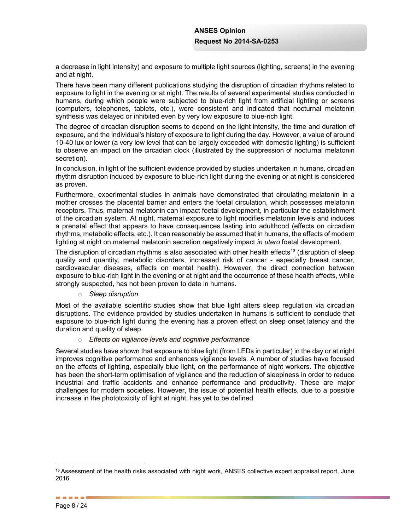a decrease in light intensity) and exposure to multiple light sources (lighting, screens) in the evening and at night.

There have been many different publications studying the disruption of circadian rhythms related to exposure to light in the evening or at night. The results of several experimental studies conducted in humans, during which people were subjected to blue-rich light from artificial lighting or screens (computers, telephones, tablets, etc.), were consistent and indicated that nocturnal melatonin synthesis was delayed or inhibited even by very low exposure to blue-rich light.

The degree of circadian disruption seems to depend on the light intensity, the time and duration of exposure, and the individual's history of exposure to light during the day. However, a value of around 10-40 lux or lower (a very low level that can be largely exceeded with domestic lighting) is sufficient to observe an impact on the circadian clock (illustrated by the suppression of nocturnal melatonin secretion).

In conclusion, in light of the sufficient evidence provided by studies undertaken in humans, circadian rhythm disruption induced by exposure to blue-rich light during the evening or at night is considered as proven.

Furthermore, experimental studies in animals have demonstrated that circulating melatonin in a mother crosses the placental barrier and enters the foetal circulation, which possesses melatonin receptors. Thus, maternal melatonin can impact foetal development, in particular the establishment of the circadian system. At night, maternal exposure to light modifies melatonin levels and induces a prenatal effect that appears to have consequences lasting into adulthood (effects on circadian rhythms, metabolic effects, etc.). It can reasonably be assumed that in humans, the effects of modern lighting at night on maternal melatonin secretion negatively impact *in utero* foetal development.

The disruption of circadian rhythms is also associated with other health effects<sup>13</sup> (disruption of sleep quality and quantity, metabolic disorders, increased risk of cancer - especially breast cancer, cardiovascular diseases, effects on mental health). However, the direct connection between exposure to blue-rich light in the evening or at night and the occurrence of these health effects, while strongly suspected, has not been proven to date in humans.

### o *Sleep disruption*

Most of the available scientific studies show that blue light alters sleep regulation via circadian disruptions. The evidence provided by studies undertaken in humans is sufficient to conclude that exposure to blue-rich light during the evening has a proven effect on sleep onset latency and the duration and quality of sleep.

o *Effects on vigilance levels and cognitive performance*

Several studies have shown that exposure to blue light (from LEDs in particular) in the day or at night improves cognitive performance and enhances vigilance levels. A number of studies have focused on the effects of lighting, especially blue light, on the performance of night workers. The objective has been the short-term optimisation of vigilance and the reduction of sleepiness in order to reduce industrial and traffic accidents and enhance performance and productivity. These are major challenges for modern societies. However, the issue of potential health effects, due to a possible increase in the phototoxicity of light at night, has yet to be defined.

**<sup>13</sup>** Assessment of the health risks associated with night work, ANSES collective expert appraisal report, June 2016.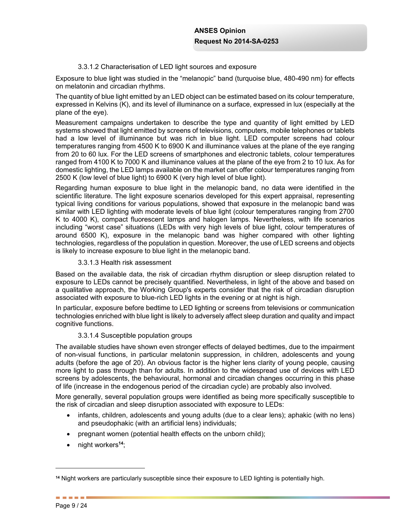## 3.3.1.2 Characterisation of LED light sources and exposure

Exposure to blue light was studied in the "melanopic" band (turquoise blue, 480-490 nm) for effects on melatonin and circadian rhythms.

The quantity of blue light emitted by an LED object can be estimated based on its colour temperature, expressed in Kelvins (K), and its level of illuminance on a surface, expressed in lux (especially at the plane of the eye).

Measurement campaigns undertaken to describe the type and quantity of light emitted by LED systems showed that light emitted by screens of televisions, computers, mobile telephones or tablets had a low level of illuminance but was rich in blue light. LED computer screens had colour temperatures ranging from 4500 K to 6900 K and illuminance values at the plane of the eye ranging from 20 to 60 lux. For the LED screens of smartphones and electronic tablets, colour temperatures ranged from 4100 K to 7000 K and illuminance values at the plane of the eye from 2 to 10 lux. As for domestic lighting, the LED lamps available on the market can offer colour temperatures ranging from 2500 K (low level of blue light) to 6900 K (very high level of blue light).

Regarding human exposure to blue light in the melanopic band, no data were identified in the scientific literature. The light exposure scenarios developed for this expert appraisal, representing typical living conditions for various populations, showed that exposure in the melanopic band was similar with LED lighting with moderate levels of blue light (colour temperatures ranging from 2700 K to 4000 K), compact fluorescent lamps and halogen lamps. Nevertheless, with life scenarios including "worst case" situations (LEDs with very high levels of blue light, colour temperatures of around 6500 K), exposure in the melanopic band was higher compared with other lighting technologies, regardless of the population in question. Moreover, the use of LED screens and objects is likely to increase exposure to blue light in the melanopic band.

## 3.3.1.3 Health risk assessment

Based on the available data, the risk of circadian rhythm disruption or sleep disruption related to exposure to LEDs cannot be precisely quantified. Nevertheless, in light of the above and based on a qualitative approach, the Working Group's experts consider that the risk of circadian disruption associated with exposure to blue-rich LED lights in the evening or at night is high.

In particular, exposure before bedtime to LED lighting or screens from televisions or communication technologies enriched with blue light is likely to adversely affect sleep duration and quality and impact cognitive functions.

## 3.3.1.4 Susceptible population groups

The available studies have shown even stronger effects of delayed bedtimes, due to the impairment of non-visual functions, in particular melatonin suppression, in children, adolescents and young adults (before the age of 20). An obvious factor is the higher lens clarity of young people, causing more light to pass through than for adults. In addition to the widespread use of devices with LED screens by adolescents, the behavioural, hormonal and circadian changes occurring in this phase of life (increase in the endogenous period of the circadian cycle) are probably also involved.

More generally, several population groups were identified as being more specifically susceptible to the risk of circadian and sleep disruption associated with exposure to LEDs:

- infants, children, adolescents and young adults (due to a clear lens); aphakic (with no lens) and pseudophakic (with an artificial lens) individuals;
- $\bullet$  pregnant women (potential health effects on the unborn child);
- x night workers**<sup>14</sup>**;

**<sup>14</sup>** Night workers are particularly susceptible since their exposure to LED lighting is potentially high.

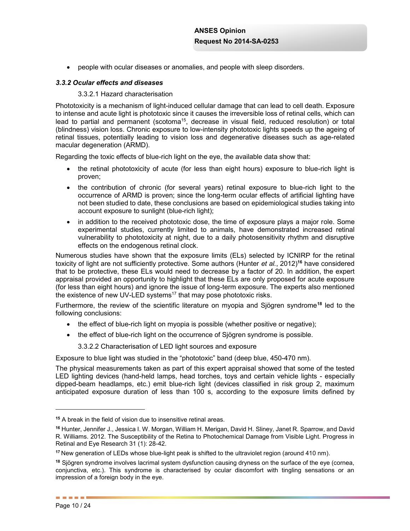• people with ocular diseases or anomalies, and people with sleep disorders.

### *3.3.2 Ocular effects and diseases*

### 3.3.2.1 Hazard characterisation

Phototoxicity is a mechanism of light-induced cellular damage that can lead to cell death. Exposure to intense and acute light is phototoxic since it causes the irreversible loss of retinal cells, which can lead to partial and permanent (scotoma<sup>15</sup>, decrease in visual field, reduced resolution) or total (blindness) vision loss. Chronic exposure to low-intensity phototoxic lights speeds up the ageing of retinal tissues, potentially leading to vision loss and degenerative diseases such as age-related macular degeneration (ARMD).

Regarding the toxic effects of blue-rich light on the eye, the available data show that:

- the retinal phototoxicity of acute (for less than eight hours) exposure to blue-rich light is proven;
- the contribution of chronic (for several years) retinal exposure to blue-rich light to the occurrence of ARMD is proven; since the long-term ocular effects of artificial lighting have not been studied to date, these conclusions are based on epidemiological studies taking into account exposure to sunlight (blue-rich light);
- in addition to the received phototoxic dose, the time of exposure plays a major role. Some experimental studies, currently limited to animals, have demonstrated increased retinal vulnerability to phototoxicity at night, due to a daily photosensitivity rhythm and disruptive effects on the endogenous retinal clock.

Numerous studies have shown that the exposure limits (ELs) selected by ICNIRP for the retinal toxicity of light are not sufficiently protective. Some authors (Hunter *et al.*, 2012)**<sup>16</sup>** have considered that to be protective, these ELs would need to decrease by a factor of 20. In addition, the expert appraisal provided an opportunity to highlight that these ELs are only proposed for acute exposure (for less than eight hours) and ignore the issue of long-term exposure. The experts also mentioned the existence of new UV-LED systems<sup>17</sup> that may pose phototoxic risks.

Furthermore, the review of the scientific literature on myopia and Sjögren syndrome**<sup>18</sup>** led to the following conclusions:

- $\bullet$  the effect of blue-rich light on myopia is possible (whether positive or negative);
- the effect of blue-rich light on the occurrence of Sjögren syndrome is possible.

3.3.2.2 Characterisation of LED light sources and exposure

Exposure to blue light was studied in the "phototoxic" band (deep blue, 450-470 nm).

The physical measurements taken as part of this expert appraisal showed that some of the tested LED lighting devices (hand-held lamps, head torches, toys and certain vehicle lights - especially dipped-beam headlamps, etc.) emit blue-rich light (devices classified in risk group 2, maximum anticipated exposure duration of less than 100 s, according to the exposure limits defined by

**<sup>15</sup>** A break in the field of vision due to insensitive retinal areas.

**<sup>16</sup>** Hunter, Jennifer J., Jessica I. W. Morgan, William H. Merigan, David H. Sliney, Janet R. Sparrow, and David R. Williams. 2012. The Susceptibility of the Retina to Photochemical Damage from Visible Light. Progress in Retinal and Eye Research 31 (1): 28-42.

**<sup>17</sup>** New generation of LEDs whose blue-light peak is shifted to the ultraviolet region (around 410 nm).

**<sup>18</sup>** Sjögren syndrome involves lacrimal system dysfunction causing dryness on the surface of the eye (cornea, conjunctiva, etc.). This syndrome is characterised by ocular discomfort with tingling sensations or an impression of a foreign body in the eye.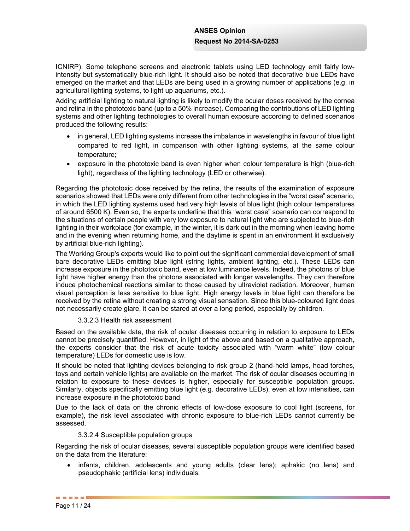ICNIRP). Some telephone screens and electronic tablets using LED technology emit fairly lowintensity but systematically blue-rich light. It should also be noted that decorative blue LEDs have emerged on the market and that LEDs are being used in a growing number of applications (e.g. in agricultural lighting systems, to light up aquariums, etc.).

Adding artificial lighting to natural lighting is likely to modify the ocular doses received by the cornea and retina in the phototoxic band (up to a 50% increase). Comparing the contributions of LED lighting systems and other lighting technologies to overall human exposure according to defined scenarios produced the following results:

- in general, LED lighting systems increase the imbalance in wavelengths in favour of blue light compared to red light, in comparison with other lighting systems, at the same colour temperature;
- exposure in the phototoxic band is even higher when colour temperature is high (blue-rich light), regardless of the lighting technology (LED or otherwise).

Regarding the phototoxic dose received by the retina, the results of the examination of exposure scenarios showed that LEDs were only different from other technologies in the "worst case" scenario, in which the LED lighting systems used had very high levels of blue light (high colour temperatures of around 6500 K). Even so, the experts underline that this "worst case" scenario can correspond to the situations of certain people with very low exposure to natural light who are subjected to blue-rich lighting in their workplace (for example, in the winter, it is dark out in the morning when leaving home and in the evening when returning home, and the daytime is spent in an environment lit exclusively by artificial blue-rich lighting).

The Working Group's experts would like to point out the significant commercial development of small bare decorative LEDs emitting blue light (string lights, ambient lighting, etc.). These LEDs can increase exposure in the phototoxic band, even at low luminance levels. Indeed, the photons of blue light have higher energy than the photons associated with longer wavelengths. They can therefore induce photochemical reactions similar to those caused by ultraviolet radiation. Moreover, human visual perception is less sensitive to blue light. High energy levels in blue light can therefore be received by the retina without creating a strong visual sensation. Since this blue-coloured light does not necessarily create glare, it can be stared at over a long period, especially by children.

3.3.2.3 Health risk assessment

Based on the available data, the risk of ocular diseases occurring in relation to exposure to LEDs cannot be precisely quantified. However, in light of the above and based on a qualitative approach, the experts consider that the risk of acute toxicity associated with "warm white" (low colour temperature) LEDs for domestic use is low.

It should be noted that lighting devices belonging to risk group 2 (hand-held lamps, head torches, toys and certain vehicle lights) are available on the market. The risk of ocular diseases occurring in relation to exposure to these devices is higher, especially for susceptible population groups. Similarly, objects specifically emitting blue light (e.g. decorative LEDs), even at low intensities, can increase exposure in the phototoxic band.

Due to the lack of data on the chronic effects of low-dose exposure to cool light (screens, for example), the risk level associated with chronic exposure to blue-rich LEDs cannot currently be assessed.

## 3.3.2.4 Susceptible population groups

Regarding the risk of ocular diseases, several susceptible population groups were identified based on the data from the literature:

• infants, children, adolescents and young adults (clear lens); aphakic (no lens) and pseudophakic (artificial lens) individuals;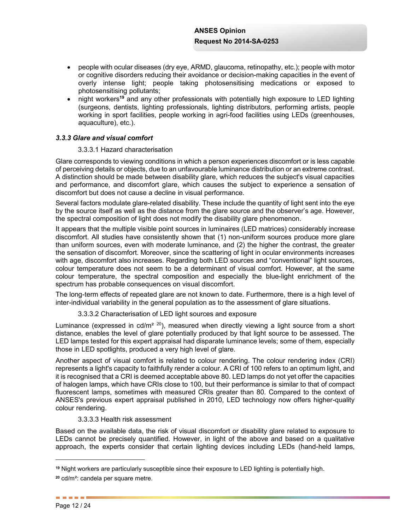- people with ocular diseases (dry eye, ARMD, glaucoma, retinopathy, etc.); people with motor or cognitive disorders reducing their avoidance or decision-making capacities in the event of overly intense light; people taking photosensitising medications or exposed to photosensitising pollutants;
- x night workers**<sup>19</sup>** and any other professionals with potentially high exposure to LED lighting (surgeons, dentists, lighting professionals, lighting distributors, performing artists, people working in sport facilities, people working in agri-food facilities using LEDs (greenhouses, aquaculture), etc.).

## *3.3.3 Glare and visual comfort*

### 3.3.3.1 Hazard characterisation

Glare corresponds to viewing conditions in which a person experiences discomfort or is less capable of perceiving details or objects, due to an unfavourable luminance distribution or an extreme contrast. A distinction should be made between disability glare, which reduces the subject's visual capacities and performance, and discomfort glare, which causes the subject to experience a sensation of discomfort but does not cause a decline in visual performance.

Several factors modulate glare-related disability. These include the quantity of light sent into the eye by the source itself as well as the distance from the glare source and the observer's age. However, the spectral composition of light does not modify the disability glare phenomenon.

It appears that the multiple visible point sources in luminaires (LED matrices) considerably increase discomfort. All studies have consistently shown that (1) non-uniform sources produce more glare than uniform sources, even with moderate luminance, and (2) the higher the contrast, the greater the sensation of discomfort. Moreover, since the scattering of light in ocular environments increases with age, discomfort also increases. Regarding both LED sources and "conventional" light sources, colour temperature does not seem to be a determinant of visual comfort. However, at the same colour temperature, the spectral composition and especially the blue-light enrichment of the spectrum has probable consequences on visual discomfort.

The long-term effects of repeated glare are not known to date. Furthermore, there is a high level of inter-individual variability in the general population as to the assessment of glare situations.

3.3.3.2 Characterisation of LED light sources and exposure

Luminance (expressed in  $cd/m^2$   $^{20}$ ), measured when directly viewing a light source from a short distance, enables the level of glare potentially produced by that light source to be assessed. The LED lamps tested for this expert appraisal had disparate luminance levels; some of them, especially those in LED spotlights, produced a very high level of glare.

Another aspect of visual comfort is related to colour rendering. The colour rendering index (CRI) represents a light's capacity to faithfully render a colour. A CRI of 100 refers to an optimum light, and it is recognised that a CRI is deemed acceptable above 80. LED lamps do not yet offer the capacities of halogen lamps, which have CRIs close to 100, but their performance is similar to that of compact fluorescent lamps, sometimes with measured CRIs greater than 80. Compared to the context of ANSES's previous expert appraisal published in 2010, LED technology now offers higher-quality colour rendering.

3.3.3.3 Health risk assessment

Based on the available data, the risk of visual discomfort or disability glare related to exposure to LEDs cannot be precisely quantified. However, in light of the above and based on a qualitative approach, the experts consider that certain lighting devices including LEDs (hand-held lamps,

**<sup>19</sup>** Night workers are particularly susceptible since their exposure to LED lighting is potentially high.

**<sup>20</sup>** cd/m²: candela per square metre.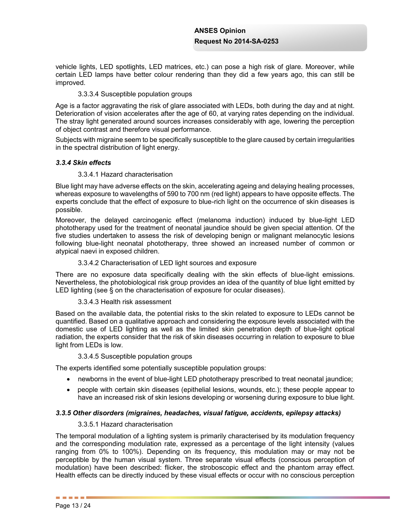vehicle lights, LED spotlights, LED matrices, etc.) can pose a high risk of glare. Moreover, while certain LED lamps have better colour rendering than they did a few years ago, this can still be improved.

## 3.3.3.4 Susceptible population groups

Age is a factor aggravating the risk of glare associated with LEDs, both during the day and at night. Deterioration of vision accelerates after the age of 60, at varying rates depending on the individual. The stray light generated around sources increases considerably with age, lowering the perception of object contrast and therefore visual performance.

Subjects with migraine seem to be specifically susceptible to the glare caused by certain irregularities in the spectral distribution of light energy.

## *3.3.4 Skin effects*

## 3.3.4.1 Hazard characterisation

Blue light may have adverse effects on the skin, accelerating ageing and delaying healing processes, whereas exposure to wavelengths of 590 to 700 nm (red light) appears to have opposite effects. The experts conclude that the effect of exposure to blue-rich light on the occurrence of skin diseases is possible.

Moreover, the delayed carcinogenic effect (melanoma induction) induced by blue-light LED phototherapy used for the treatment of neonatal jaundice should be given special attention. Of the five studies undertaken to assess the risk of developing benign or malignant melanocytic lesions following blue-light neonatal phototherapy, three showed an increased number of common or atypical naevi in exposed children.

## 3.3.4.2 Characterisation of LED light sources and exposure

There are no exposure data specifically dealing with the skin effects of blue-light emissions. Nevertheless, the photobiological risk group provides an idea of the quantity of blue light emitted by LED lighting (see § on the characterisation of exposure for ocular diseases).

### 3.3.4.3 Health risk assessment

Based on the available data, the potential risks to the skin related to exposure to LEDs cannot be quantified. Based on a qualitative approach and considering the exposure levels associated with the domestic use of LED lighting as well as the limited skin penetration depth of blue-light optical radiation, the experts consider that the risk of skin diseases occurring in relation to exposure to blue light from LEDs is low.

### 3.3.4.5 Susceptible population groups

The experts identified some potentially susceptible population groups:

- newborns in the event of blue-light LED phototherapy prescribed to treat neonatal jaundice;
- people with certain skin diseases (epithelial lesions, wounds, etc.); these people appear to have an increased risk of skin lesions developing or worsening during exposure to blue light.

## *3.3.5 Other disorders (migraines, headaches, visual fatigue, accidents, epilepsy attacks)*

### 3.3.5.1 Hazard characterisation

The temporal modulation of a lighting system is primarily characterised by its modulation frequency and the corresponding modulation rate, expressed as a percentage of the light intensity (values ranging from 0% to 100%). Depending on its frequency, this modulation may or may not be perceptible by the human visual system. Three separate visual effects (conscious perception of modulation) have been described: flicker, the stroboscopic effect and the phantom array effect. Health effects can be directly induced by these visual effects or occur with no conscious perception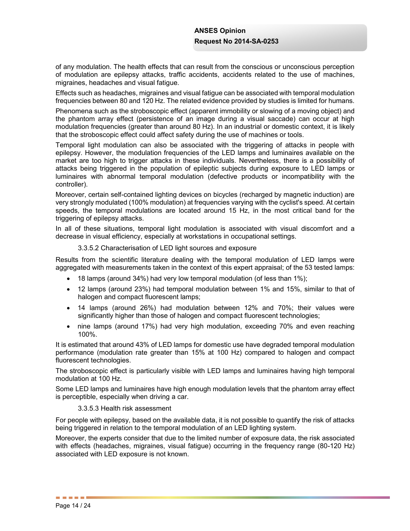of any modulation. The health effects that can result from the conscious or unconscious perception of modulation are epilepsy attacks, traffic accidents, accidents related to the use of machines, migraines, headaches and visual fatigue.

Effects such as headaches, migraines and visual fatigue can be associated with temporal modulation frequencies between 80 and 120 Hz. The related evidence provided by studies is limited for humans.

Phenomena such as the stroboscopic effect (apparent immobility or slowing of a moving object) and the phantom array effect (persistence of an image during a visual saccade) can occur at high modulation frequencies (greater than around 80 Hz). In an industrial or domestic context, it is likely that the stroboscopic effect could affect safety during the use of machines or tools.

Temporal light modulation can also be associated with the triggering of attacks in people with epilepsy. However, the modulation frequencies of the LED lamps and luminaires available on the market are too high to trigger attacks in these individuals. Nevertheless, there is a possibility of attacks being triggered in the population of epileptic subjects during exposure to LED lamps or luminaires with abnormal temporal modulation (defective products or incompatibility with the controller).

Moreover, certain self-contained lighting devices on bicycles (recharged by magnetic induction) are very strongly modulated (100% modulation) at frequencies varying with the cyclist's speed. At certain speeds, the temporal modulations are located around 15 Hz, in the most critical band for the triggering of epilepsy attacks.

In all of these situations, temporal light modulation is associated with visual discomfort and a decrease in visual efficiency, especially at workstations in occupational settings.

3.3.5.2 Characterisation of LED light sources and exposure

Results from the scientific literature dealing with the temporal modulation of LED lamps were aggregated with measurements taken in the context of this expert appraisal; of the 53 tested lamps:

- $\bullet$  18 lamps (around 34%) had very low temporal modulation (of less than 1%);
- 12 lamps (around 23%) had temporal modulation between 1% and 15%, similar to that of halogen and compact fluorescent lamps;
- 14 lamps (around 26%) had modulation between 12% and 70%; their values were significantly higher than those of halogen and compact fluorescent technologies;
- nine lamps (around 17%) had very high modulation, exceeding 70% and even reaching 100%.

It is estimated that around 43% of LED lamps for domestic use have degraded temporal modulation performance (modulation rate greater than 15% at 100 Hz) compared to halogen and compact fluorescent technologies.

The stroboscopic effect is particularly visible with LED lamps and luminaires having high temporal modulation at 100 Hz.

Some LED lamps and luminaires have high enough modulation levels that the phantom array effect is perceptible, especially when driving a car.

### 3.3.5.3 Health risk assessment

For people with epilepsy, based on the available data, it is not possible to quantify the risk of attacks being triggered in relation to the temporal modulation of an LED lighting system.

Moreover, the experts consider that due to the limited number of exposure data, the risk associated with effects (headaches, migraines, visual fatigue) occurring in the frequency range (80-120 Hz) associated with LED exposure is not known.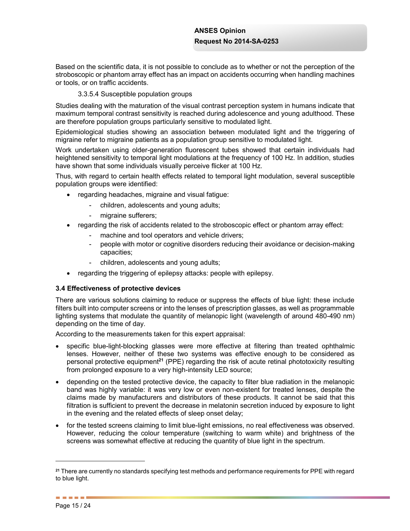Based on the scientific data, it is not possible to conclude as to whether or not the perception of the stroboscopic or phantom array effect has an impact on accidents occurring when handling machines or tools, or on traffic accidents.

## 3.3.5.4 Susceptible population groups

Studies dealing with the maturation of the visual contrast perception system in humans indicate that maximum temporal contrast sensitivity is reached during adolescence and young adulthood. These are therefore population groups particularly sensitive to modulated light.

Epidemiological studies showing an association between modulated light and the triggering of migraine refer to migraine patients as a population group sensitive to modulated light.

Work undertaken using older-generation fluorescent tubes showed that certain individuals had heightened sensitivity to temporal light modulations at the frequency of 100 Hz. In addition, studies have shown that some individuals visually perceive flicker at 100 Hz.

Thus, with regard to certain health effects related to temporal light modulation, several susceptible population groups were identified:

- regarding headaches, migraine and visual fatigue:
	- children, adolescents and young adults;
	- migraine sufferers;
- regarding the risk of accidents related to the stroboscopic effect or phantom array effect:
	- machine and tool operators and vehicle drivers;
	- people with motor or cognitive disorders reducing their avoidance or decision-making capacities;
	- children, adolescents and young adults;
- regarding the triggering of epilepsy attacks: people with epilepsy.

### **3.4 Effectiveness of protective devices**

There are various solutions claiming to reduce or suppress the effects of blue light: these include filters built into computer screens or into the lenses of prescription glasses, as well as programmable lighting systems that modulate the quantity of melanopic light (wavelength of around 480-490 nm) depending on the time of day.

According to the measurements taken for this expert appraisal:

- specific blue-light-blocking glasses were more effective at filtering than treated ophthalmic lenses. However, neither of these two systems was effective enough to be considered as personal protective equipment**<sup>21</sup>** (PPE) regarding the risk of acute retinal phototoxicity resulting from prolonged exposure to a very high-intensity LED source;
- depending on the tested protective device, the capacity to filter blue radiation in the melanopic band was highly variable: it was very low or even non-existent for treated lenses, despite the claims made by manufacturers and distributors of these products. It cannot be said that this filtration is sufficient to prevent the decrease in melatonin secretion induced by exposure to light in the evening and the related effects of sleep onset delay;
- for the tested screens claiming to limit blue-light emissions, no real effectiveness was observed. However, reducing the colour temperature (switching to warm white) and brightness of the screens was somewhat effective at reducing the quantity of blue light in the spectrum.

**<sup>21</sup>** There are currently no standards specifying test methods and performance requirements for PPE with regard to blue light.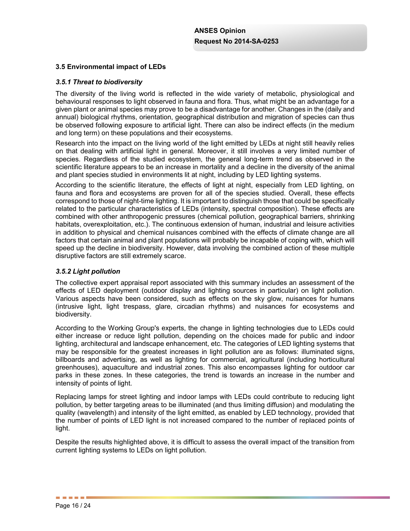## **3.5 Environmental impact of LEDs**

### *3.5.1 Threat to biodiversity*

The diversity of the living world is reflected in the wide variety of metabolic, physiological and behavioural responses to light observed in fauna and flora. Thus, what might be an advantage for a given plant or animal species may prove to be a disadvantage for another. Changes in the (daily and annual) biological rhythms, orientation, geographical distribution and migration of species can thus be observed following exposure to artificial light. There can also be indirect effects (in the medium and long term) on these populations and their ecosystems.

Research into the impact on the living world of the light emitted by LEDs at night still heavily relies on that dealing with artificial light in general. Moreover, it still involves a very limited number of species. Regardless of the studied ecosystem, the general long-term trend as observed in the scientific literature appears to be an increase in mortality and a decline in the diversity of the animal and plant species studied in environments lit at night, including by LED lighting systems.

According to the scientific literature, the effects of light at night, especially from LED lighting, on fauna and flora and ecosystems are proven for all of the species studied. Overall, these effects correspond to those of night-time lighting. It is important to distinguish those that could be specifically related to the particular characteristics of LEDs (intensity, spectral composition). These effects are combined with other anthropogenic pressures (chemical pollution, geographical barriers, shrinking habitats, overexploitation, etc.). The continuous extension of human, industrial and leisure activities in addition to physical and chemical nuisances combined with the effects of climate change are all factors that certain animal and plant populations will probably be incapable of coping with, which will speed up the decline in biodiversity. However, data involving the combined action of these multiple disruptive factors are still extremely scarce.

## *3.5.2 Light pollution*

The collective expert appraisal report associated with this summary includes an assessment of the effects of LED deployment (outdoor display and lighting sources in particular) on light pollution. Various aspects have been considered, such as effects on the sky glow, nuisances for humans (intrusive light, light trespass, glare, circadian rhythms) and nuisances for ecosystems and biodiversity.

According to the Working Group's experts, the change in lighting technologies due to LEDs could either increase or reduce light pollution, depending on the choices made for public and indoor lighting, architectural and landscape enhancement, etc. The categories of LED lighting systems that may be responsible for the greatest increases in light pollution are as follows: illuminated signs, billboards and advertising, as well as lighting for commercial, agricultural (including horticultural greenhouses), aquaculture and industrial zones. This also encompasses lighting for outdoor car parks in these zones. In these categories, the trend is towards an increase in the number and intensity of points of light.

Replacing lamps for street lighting and indoor lamps with LEDs could contribute to reducing light pollution, by better targeting areas to be illuminated (and thus limiting diffusion) and modulating the quality (wavelength) and intensity of the light emitted, as enabled by LED technology, provided that the number of points of LED light is not increased compared to the number of replaced points of light.

Despite the results highlighted above, it is difficult to assess the overall impact of the transition from current lighting systems to LEDs on light pollution.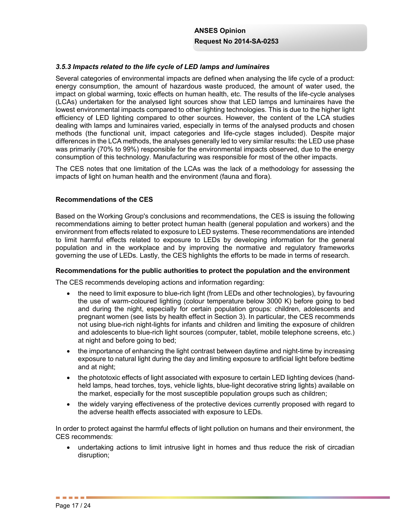## *3.5.3 Impacts related to the life cycle of LED lamps and luminaires*

Several categories of environmental impacts are defined when analysing the life cycle of a product: energy consumption, the amount of hazardous waste produced, the amount of water used, the impact on global warming, toxic effects on human health, etc. The results of the life-cycle analyses (LCAs) undertaken for the analysed light sources show that LED lamps and luminaires have the lowest environmental impacts compared to other lighting technologies. This is due to the higher light efficiency of LED lighting compared to other sources. However, the content of the LCA studies dealing with lamps and luminaires varied, especially in terms of the analysed products and chosen methods (the functional unit, impact categories and life-cycle stages included). Despite major differences in the LCA methods, the analyses generally led to very similar results: the LED use phase was primarily (70% to 99%) responsible for the environmental impacts observed, due to the energy consumption of this technology. Manufacturing was responsible for most of the other impacts.

The CES notes that one limitation of the LCAs was the lack of a methodology for assessing the impacts of light on human health and the environment (fauna and flora).

### **Recommendations of the CES**

Based on the Working Group's conclusions and recommendations, the CES is issuing the following recommendations aiming to better protect human health (general population and workers) and the environment from effects related to exposure to LED systems. These recommendations are intended to limit harmful effects related to exposure to LEDs by developing information for the general population and in the workplace and by improving the normative and regulatory frameworks governing the use of LEDs. Lastly, the CES highlights the efforts to be made in terms of research.

### **Recommendations for the public authorities to protect the population and the environment**

The CES recommends developing actions and information regarding:

- the need to limit exposure to blue-rich light (from LEDs and other technologies), by favouring the use of warm-coloured lighting (colour temperature below 3000 K) before going to bed and during the night, especially for certain population groups: children, adolescents and pregnant women (see lists by health effect in Section 3). In particular, the CES recommends not using blue-rich night-lights for infants and children and limiting the exposure of children and adolescents to blue-rich light sources (computer, tablet, mobile telephone screens, etc.) at night and before going to bed;
- the importance of enhancing the light contrast between daytime and night-time by increasing exposure to natural light during the day and limiting exposure to artificial light before bedtime and at night;
- the phototoxic effects of light associated with exposure to certain LED lighting devices (handheld lamps, head torches, toys, vehicle lights, blue-light decorative string lights) available on the market, especially for the most susceptible population groups such as children;
- the widely varying effectiveness of the protective devices currently proposed with regard to the adverse health effects associated with exposure to LEDs.

In order to protect against the harmful effects of light pollution on humans and their environment, the CES recommends:

• undertaking actions to limit intrusive light in homes and thus reduce the risk of circadian disruption;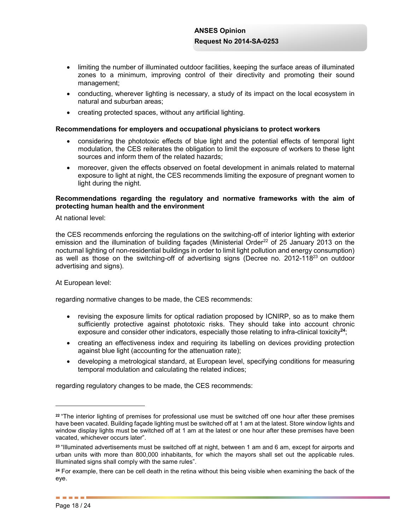- limiting the number of illuminated outdoor facilities, keeping the surface areas of illuminated zones to a minimum, improving control of their directivity and promoting their sound management;
- $\bullet$  conducting, wherever lighting is necessary, a study of its impact on the local ecosystem in natural and suburban areas;
- creating protected spaces, without any artificial lighting.

### **Recommendations for employers and occupational physicians to protect workers**

- considering the phototoxic effects of blue light and the potential effects of temporal light modulation, the CES reiterates the obligation to limit the exposure of workers to these light sources and inform them of the related hazards;
- moreover, given the effects observed on foetal development in animals related to maternal exposure to light at night, the CES recommends limiting the exposure of pregnant women to light during the night.

### **Recommendations regarding the regulatory and normative frameworks with the aim of protecting human health and the environment**

At national level:

the CES recommends enforcing the regulations on the switching-off of interior lighting with exterior emission and the illumination of building facades (Ministerial Order<sup>22</sup> of 25 January 2013 on the nocturnal lighting of non-residential buildings in order to limit light pollution and energy consumption) as well as those on the switching-off of advertising signs (Decree no. 2012-11823 on outdoor advertising and signs).

At European level:

regarding normative changes to be made, the CES recommends:

- revising the exposure limits for optical radiation proposed by ICNIRP, so as to make them sufficiently protective against phototoxic risks. They should take into account chronic exposure and consider other indicators, especially those relating to infra-clinical toxicity**<sup>24</sup>**;
- creating an effectiveness index and requiring its labelling on devices providing protection against blue light (accounting for the attenuation rate);
- developing a metrological standard, at European level, specifying conditions for measuring temporal modulation and calculating the related indices;

regarding regulatory changes to be made, the CES recommends:

**<sup>22</sup>** "The interior lighting of premises for professional use must be switched off one hour after these premises have been vacated. Building façade lighting must be switched off at 1 am at the latest. Store window lights and window display lights must be switched off at 1 am at the latest or one hour after these premises have been vacated, whichever occurs later".

**<sup>23</sup>** "Illuminated advertisements must be switched off at night, between 1 am and 6 am, except for airports and urban units with more than 800,000 inhabitants, for which the mayors shall set out the applicable rules. Illuminated signs shall comply with the same rules".

**<sup>24</sup>** For example, there can be cell death in the retina without this being visible when examining the back of the eye.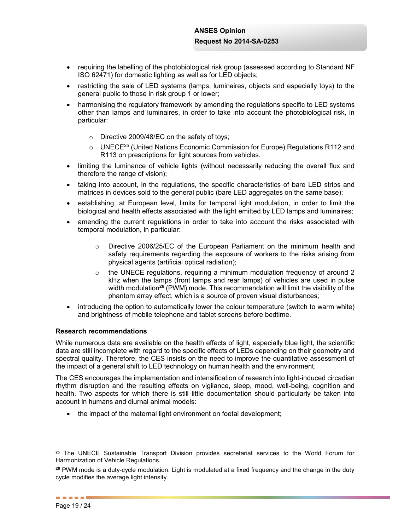- requiring the labelling of the photobiological risk group (assessed according to Standard NF ISO 62471) for domestic lighting as well as for LED objects;
- restricting the sale of LED systems (lamps, luminaires, objects and especially toys) to the general public to those in risk group 1 or lower;
- harmonising the regulatory framework by amending the regulations specific to LED systems other than lamps and luminaires, in order to take into account the photobiological risk, in particular:
	- o Directive 2009/48/EC on the safety of toys;
	- $\circ$  UNECE<sup>25</sup> (United Nations Economic Commission for Europe) Regulations R112 and R113 on prescriptions for light sources from vehicles.
- limiting the luminance of vehicle lights (without necessarily reducing the overall flux and therefore the range of vision);
- taking into account, in the regulations, the specific characteristics of bare LED strips and matrices in devices sold to the general public (bare LED aggregates on the same base);
- establishing, at European level, limits for temporal light modulation, in order to limit the biological and health effects associated with the light emitted by LED lamps and luminaires;
- amending the current regulations in order to take into account the risks associated with temporal modulation, in particular:
	- o Directive 2006/25/EC of the European Parliament on the minimum health and safety requirements regarding the exposure of workers to the risks arising from physical agents (artificial optical radiation);
	- $\circ$  the UNECE regulations, reguiring a minimum modulation frequency of around 2 kHz when the lamps (front lamps and rear lamps) of vehicles are used in pulse width modulation**<sup>26</sup>** (PWM) mode. This recommendation will limit the visibility of the phantom array effect, which is a source of proven visual disturbances;
- introducing the option to automatically lower the colour temperature (switch to warm white) and brightness of mobile telephone and tablet screens before bedtime.

### **Research recommendations**

While numerous data are available on the health effects of light, especially blue light, the scientific data are still incomplete with regard to the specific effects of LEDs depending on their geometry and spectral quality. Therefore, the CES insists on the need to improve the quantitative assessment of the impact of a general shift to LED technology on human health and the environment.

The CES encourages the implementation and intensification of research into light-induced circadian rhythm disruption and the resulting effects on vigilance, sleep, mood, well-being, cognition and health. Two aspects for which there is still little documentation should particularly be taken into account in humans and diurnal animal models:

• the impact of the maternal light environment on foetal development;

**<sup>25</sup>** The UNECE Sustainable Transport Division provides secretariat services to the World Forum for Harmonization of Vehicle Regulations.

**<sup>26</sup>** PWM mode is a duty-cycle modulation. Light is modulated at a fixed frequency and the change in the duty cycle modifies the average light intensity.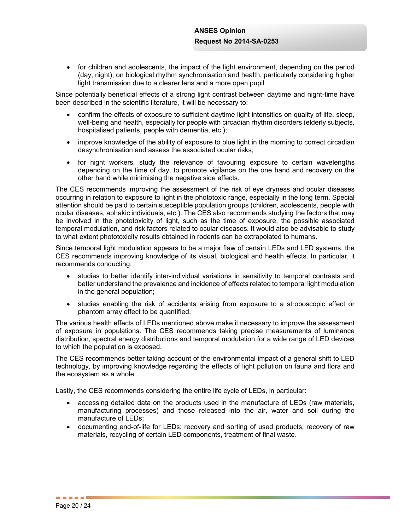• for children and adolescents, the impact of the light environment, depending on the period (day, night), on biological rhythm synchronisation and health, particularly considering higher light transmission due to a clearer lens and a more open pupil.

Since potentially beneficial effects of a strong light contrast between daytime and night-time have been described in the scientific literature, it will be necessary to:

- confirm the effects of exposure to sufficient daytime light intensities on quality of life, sleep, well-being and health, especially for people with circadian rhythm disorders (elderly subjects, hospitalised patients, people with dementia, etc.);
- improve knowledge of the ability of exposure to blue light in the morning to correct circadian desynchronisation and assess the associated ocular risks;
- for night workers, study the relevance of favouring exposure to certain wavelengths depending on the time of day, to promote vigilance on the one hand and recovery on the other hand while minimising the negative side effects.

The CES recommends improving the assessment of the risk of eye dryness and ocular diseases occurring in relation to exposure to light in the phototoxic range, especially in the long term. Special attention should be paid to certain susceptible population groups (children, adolescents, people with ocular diseases, aphakic individuals, etc.). The CES also recommends studying the factors that may be involved in the phototoxicity of light, such as the time of exposure, the possible associated temporal modulation, and risk factors related to ocular diseases. It would also be advisable to study to what extent phototoxicity results obtained in rodents can be extrapolated to humans.

Since temporal light modulation appears to be a major flaw of certain LEDs and LED systems, the CES recommends improving knowledge of its visual, biological and health effects. In particular, it recommends conducting:

- studies to better identify inter-individual variations in sensitivity to temporal contrasts and better understand the prevalence and incidence of effects related to temporal light modulation in the general population;
- studies enabling the risk of accidents arising from exposure to a stroboscopic effect or phantom array effect to be quantified.

The various health effects of LEDs mentioned above make it necessary to improve the assessment of exposure in populations. The CES recommends taking precise measurements of luminance distribution, spectral energy distributions and temporal modulation for a wide range of LED devices to which the population is exposed.

The CES recommends better taking account of the environmental impact of a general shift to LED technology, by improving knowledge regarding the effects of light pollution on fauna and flora and the ecosystem as a whole.

Lastly, the CES recommends considering the entire life cycle of LEDs, in particular:

- accessing detailed data on the products used in the manufacture of LEDs (raw materials, manufacturing processes) and those released into the air, water and soil during the manufacture of LEDs;
- documenting end-of-life for LEDs: recovery and sorting of used products, recovery of raw materials, recycling of certain LED components, treatment of final waste.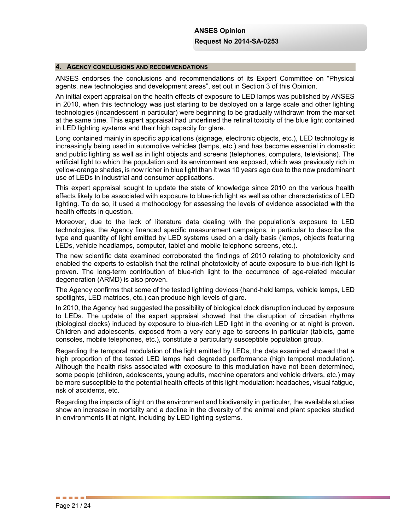#### **4. AGENCY CONCLUSIONS AND RECOMMENDATIONS**

ANSES endorses the conclusions and recommendations of its Expert Committee on "Physical agents, new technologies and development areas", set out in Section 3 of this Opinion.

An initial expert appraisal on the health effects of exposure to LED lamps was published by ANSES in 2010, when this technology was just starting to be deployed on a large scale and other lighting technologies (incandescent in particular) were beginning to be gradually withdrawn from the market at the same time. This expert appraisal had underlined the retinal toxicity of the blue light contained in LED lighting systems and their high capacity for glare.

Long contained mainly in specific applications (signage, electronic objects, etc.), LED technology is increasingly being used in automotive vehicles (lamps, etc.) and has become essential in domestic and public lighting as well as in light objects and screens (telephones, computers, televisions). The artificial light to which the population and its environment are exposed, which was previously rich in yellow-orange shades, is now richer in blue light than it was 10 years ago due to the now predominant use of LEDs in industrial and consumer applications.

This expert appraisal sought to update the state of knowledge since 2010 on the various health effects likely to be associated with exposure to blue-rich light as well as other characteristics of LED lighting. To do so, it used a methodology for assessing the levels of evidence associated with the health effects in question.

Moreover, due to the lack of literature data dealing with the population's exposure to LED technologies, the Agency financed specific measurement campaigns, in particular to describe the type and quantity of light emitted by LED systems used on a daily basis (lamps, objects featuring LEDs, vehicle headlamps, computer, tablet and mobile telephone screens, etc.).

The new scientific data examined corroborated the findings of 2010 relating to phototoxicity and enabled the experts to establish that the retinal phototoxicity of acute exposure to blue-rich light is proven. The long-term contribution of blue-rich light to the occurrence of age-related macular degeneration (ARMD) is also proven.

The Agency confirms that some of the tested lighting devices (hand-held lamps, vehicle lamps, LED spotlights, LED matrices, etc.) can produce high levels of glare.

In 2010, the Agency had suggested the possibility of biological clock disruption induced by exposure to LEDs. The update of the expert appraisal showed that the disruption of circadian rhythms (biological clocks) induced by exposure to blue-rich LED light in the evening or at night is proven. Children and adolescents, exposed from a very early age to screens in particular (tablets, game consoles, mobile telephones, etc.), constitute a particularly susceptible population group.

Regarding the temporal modulation of the light emitted by LEDs, the data examined showed that a high proportion of the tested LED lamps had degraded performance (high temporal modulation). Although the health risks associated with exposure to this modulation have not been determined, some people (children, adolescents, young adults, machine operators and vehicle drivers, etc.) may be more susceptible to the potential health effects of this light modulation: headaches, visual fatigue, risk of accidents, etc.

Regarding the impacts of light on the environment and biodiversity in particular, the available studies show an increase in mortality and a decline in the diversity of the animal and plant species studied in environments lit at night, including by LED lighting systems.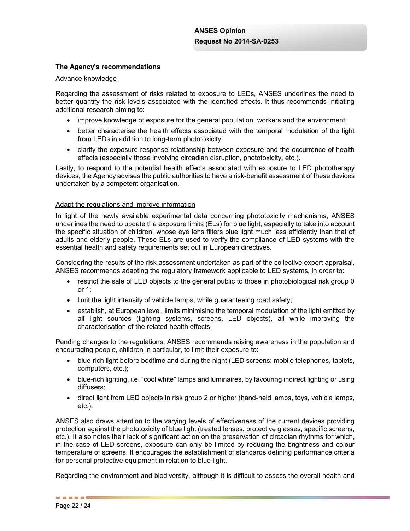## **The Agency's recommendations**

#### Advance knowledge

Regarding the assessment of risks related to exposure to LEDs, ANSES underlines the need to better quantify the risk levels associated with the identified effects. It thus recommends initiating additional research aiming to:

- improve knowledge of exposure for the general population, workers and the environment;
- better characterise the health effects associated with the temporal modulation of the light from LEDs in addition to long-term phototoxicity;
- clarify the exposure-response relationship between exposure and the occurrence of health effects (especially those involving circadian disruption, phototoxicity, etc.).

Lastly, to respond to the potential health effects associated with exposure to LED phototherapy devices, the Agency advises the public authorities to have a risk-benefit assessment of these devices undertaken by a competent organisation.

### Adapt the regulations and improve information

In light of the newly available experimental data concerning phototoxicity mechanisms, ANSES underlines the need to update the exposure limits (ELs) for blue light, especially to take into account the specific situation of children, whose eye lens filters blue light much less efficiently than that of adults and elderly people. These ELs are used to verify the compliance of LED systems with the essential health and safety requirements set out in European directives.

Considering the results of the risk assessment undertaken as part of the collective expert appraisal, ANSES recommends adapting the regulatory framework applicable to LED systems, in order to:

- restrict the sale of LED objects to the general public to those in photobiological risk group 0 or 1;
- limit the light intensity of vehicle lamps, while guaranteeing road safety;
- establish, at European level, limits minimising the temporal modulation of the light emitted by all light sources (lighting systems, screens, LED objects), all while improving the characterisation of the related health effects.

Pending changes to the regulations, ANSES recommends raising awareness in the population and encouraging people, children in particular, to limit their exposure to:

- blue-rich light before bedtime and during the night (LED screens: mobile telephones, tablets, computers, etc.);
- blue-rich lighting, i.e. "cool white" lamps and luminaires, by favouring indirect lighting or using diffusers;
- direct light from LED objects in risk group 2 or higher (hand-held lamps, toys, vehicle lamps, etc.).

ANSES also draws attention to the varying levels of effectiveness of the current devices providing protection against the phototoxicity of blue light (treated lenses, protective glasses, specific screens, etc.). It also notes their lack of significant action on the preservation of circadian rhythms for which, in the case of LED screens, exposure can only be limited by reducing the brightness and colour temperature of screens. It encourages the establishment of standards defining performance criteria for personal protective equipment in relation to blue light.

Regarding the environment and biodiversity, although it is difficult to assess the overall health and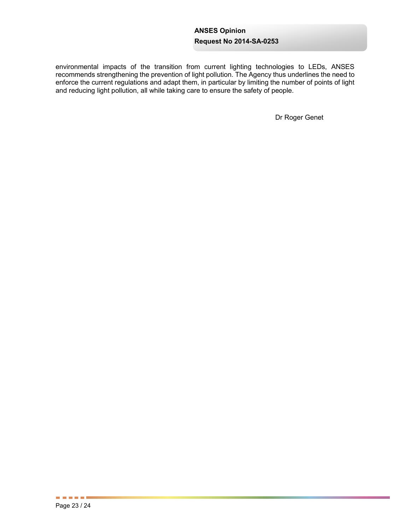environmental impacts of the transition from current lighting technologies to LEDs, ANSES recommends strengthening the prevention of light pollution. The Agency thus underlines the need to enforce the current regulations and adapt them, in particular by limiting the number of points of light and reducing light pollution, all while taking care to ensure the safety of people.

Dr Roger Genet